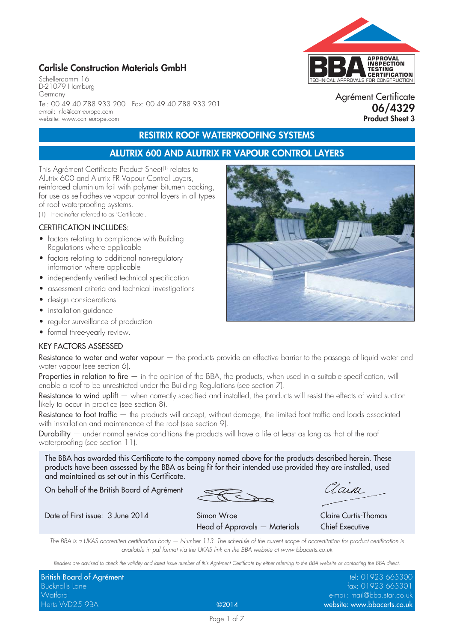# **Carlisle Construction Materials GmbH**

Schellerdamm 16 D-21079 Hamburg Germany Tel: 00 49 40 788 933 200 Fax: 00 49 40 788 933 201 e-mail: info@ccm-europe.com website: www.ccm-europe.com

# **RESITRIX ROOF WATERPROOFING SYSTEMS**

# **ALUTRIX 600 AND ALUTRIX FR VAPOUR CONTROL LAYERS**

This Agrément Certificate Product Sheet<sup>(1)</sup> relates to Alutrix 600 and Alutrix FR Vapour Control Layers, reinforced aluminium foil with polymer bitumen backing, for use as self-adhesive vapour control layers in all types of roof waterproofing systems.

(1) Hereinafter referred to as 'Certificate'.

#### CERTIFICATION INCLUDES:

- factors relating to compliance with Building Regulations where applicable
- factors relating to additional non-regulatory information where applicable
- independently verified technical specification
- assessment criteria and technical investigations
- design considerations
- installation guidance
- regular surveillance of production
- formal three-yearly review.

#### KEY FACTORS ASSESSED

Resistance to water and water vapour  $-$  the products provide an effective barrier to the passage of liquid water and water vapour (see section 6).

Properties in relation to fire  $-$  in the opinion of the BBA, the products, when used in a suitable specification, will enable a roof to be unrestricted under the Building Regulations (see section 7).

Resistance to wind uplift — when correctly specified and installed, the products will resist the effects of wind suction likely to occur in practice (see section 8).

Resistance to foot traffic — the products will accept, without damage, the limited foot traffic and loads associated with installation and maintenance of the roof (see section 9).

Durability — under normal service conditions the products will have a life at least as long as that of the roof waterproofing (see section 11).

The BBA has awarded this Certificate to the company named above for the products described herein. These products have been assessed by the BBA as being fit for their intended use provided they are installed, used and maintained as set out in this Certificate.

On behalf of the British Board of Agrément

aain

Date of First issue: 3 June 2014 Simon Wroe Claire Curtis-Thomas Head of Approvals — Materials Chief Executive

*The BBA is a UKAS accredited certification body — Number 113. The schedule of the current scope of accreditation for product certification is available in pdf format via the UKAS link on the BBA website at www.bbacerts.co.uk*

*Readers are advised to check the validity and latest issue number of this Agrément Certificate by either referring to the BBA website or contacting the BBA direct.*

| British Board of Agrément |       | tel: 01923 665300           |
|---------------------------|-------|-----------------------------|
| Bucknalls Lane            |       | fax: 01923 665301           |
| Watford                   |       | e-mail: mail@bba.star.co.uk |
| Herts WD25 9BA            | @2014 | website: www.bbacerts.co.uk |



Agrément Certificate **06/4329 Product Sheet 3**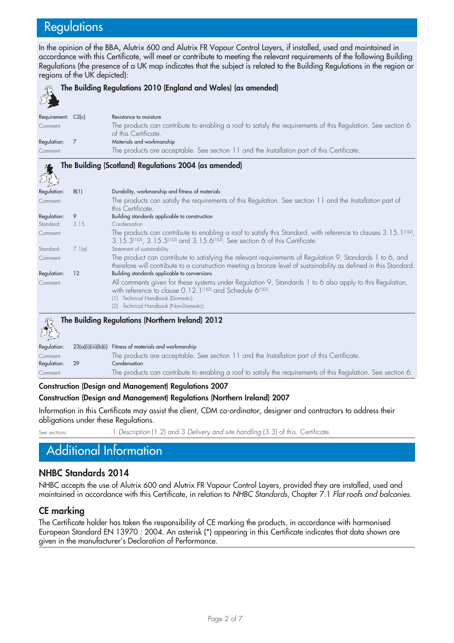# **Regulations**

In the opinion of the BBA, Alutrix 600 and Alutrix FR Vapour Control Layers, if installed, used and maintained in accordance with this Certificate, will meet or contribute to meeting the relevant requirements of the following Building Regulations (the presence of a UK map indicates that the subject is related to the Building Regulations in the region or regions of the UK depicted):

|                    |        | The Building Regulations 2010 (England and Wales) (as amended)                                                                                                                                                                                                                  |
|--------------------|--------|---------------------------------------------------------------------------------------------------------------------------------------------------------------------------------------------------------------------------------------------------------------------------------|
| Requirement: C2(c) |        | Resistance to moisture                                                                                                                                                                                                                                                          |
| Comment:           |        | The products can contribute to enabling a roof to satisfy the requirements of this Regulation. See section 6<br>of this Certificate.                                                                                                                                            |
| Regulation:        | 7      | Materials and workmanship                                                                                                                                                                                                                                                       |
| Comment:           |        | The products are acceptable. See section 11 and the Installation part of this Certificate.                                                                                                                                                                                      |
|                    |        | The Building (Scotland) Regulations 2004 (as amended)                                                                                                                                                                                                                           |
| Regulation:        | 8(1)   | Durability, workmanship and fitness of materials                                                                                                                                                                                                                                |
| Comment:           |        | The products can satisfy the requirements of this Regulation. See section 11 and the Installation part of<br>this Certificate.                                                                                                                                                  |
| Regulation:        | 9      | Building standards applicable to construction                                                                                                                                                                                                                                   |
| Standard:          | 3.15   | Condensation                                                                                                                                                                                                                                                                    |
| Comment:           |        | The products can contribute to enabling a roof to satisfy this Standard, with reference to clauses $3.15.1^{(1)(2)}$ ,<br>3.15.3(1)(2), 3.15.5(1)(2) and 3.15.6(1)(2). See section 6 of this Certificate.                                                                       |
| Standard:          | 7.1(a) | Statement of sustainability                                                                                                                                                                                                                                                     |
| Comment:           |        | The product can contribute to satisfying the relevant requirements of Regulation 9, Standards 1 to 6, and<br>therefore will contribute to a construction meeting a bronze level of sustainability as defined in this Standard.                                                  |
| Regulation:        | 12     | Building standards applicable to conversions                                                                                                                                                                                                                                    |
| Comment:           |        | All comments given for these systems under Regulation 9, Standards 1 to 6 also apply to this Regulation,<br>with reference to clause 0.12.1 <sup>(1)(2)</sup> and Schedule 6 <sup>(1)(2)</sup> .<br>Technical Handbook (Domestic).<br>Technical Handbook (Non-Domestic).<br>(2) |
| 绍                  |        | The Building Regulations (Northern Ireland) 2012                                                                                                                                                                                                                                |

Regulation: 23(a)(i)(iii)(b)(i) Fitness of materials and workmanship Comment: The products are acceptable. See section 11 and the *Installation* part of this Certificate. Regulation: 29 Condensation Comment: The products can contribute to enabling a roof to satisfy the requirements of this Regulation. See section 6.

#### **Construction (Design and Management) Regulations 2007**

#### **Construction (Design and Management) Regulations (Northern Ireland) 2007**

Information in this Certificate may assist the client, CDM co-ordinator, designer and contractors to address their obligations under these Regulations.

See sections: 1 *Description* (1.2) and 3 *Delivery and site handling* (3.3) of this. Certificate.

# Additional Information

### **NHBC Standards 2014**

NHBC accepts the use of Alutrix 600 and Alutrix FR Vapour Control Layers, provided they are installed, used and maintained in accordance with this Certificate, in relation to *NHBC Standards*, Chapter 7.1 *Flat roofs and balconies*.

#### **CE marking**

The Certificate holder has taken the responsibility of CE marking the products, in accordance with harmonised European Standard EN 13970 : 2004. An asterisk (\*) appearing in this Certificate indicates that data shown are given in the manufacturer's Declaration of Performance.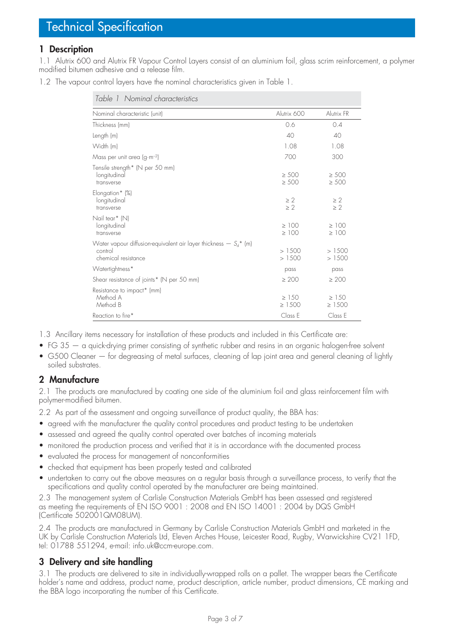### **1 Description**

1.1 Alutrix 600 and Alutrix FR Vapour Control Layers consist of an aluminium foil, glass scrim reinforcement, a polymer modified bitumen adhesive and a release film.

1.2 The vapour control layers have the nominal characteristics given in Table 1.

| Table 1 Nominal characteristics                                                                       |                           |                           |
|-------------------------------------------------------------------------------------------------------|---------------------------|---------------------------|
| Nominal characteristic (unit)                                                                         | Alutrix 600               | Alutrix FR                |
| Thickness (mm)                                                                                        | 0.6                       | 0.4                       |
| Length (m)                                                                                            | 40                        | 40                        |
| Width (m)                                                                                             | 1.08                      | 1.08                      |
| Mass per unit area $(g \cdot m^{-2})$                                                                 | 700                       | 300                       |
| Tensile strength* (N per 50 mm)<br>longitudinal<br>transverse                                         | $\geq 500$<br>$\geq 500$  | $\geq 500$<br>$\geq 500$  |
| Elongation* (%)<br>longitudinal<br>transverse                                                         | $\geq 2$<br>$\geq 2$      | $\geq 2$<br>$\geq 2$      |
| Nail tear* (N)<br>longitudinal<br>transverse                                                          | $\geq 100$<br>$\geq 100$  | $\geq 100$<br>$\geq 100$  |
| Water vapour diffusion-equivalent air layer thickness $- S_d^*$ (m)<br>control<br>chemical resistance | >1500<br>>1500            | >1500<br>>1500            |
| Watertightness*                                                                                       | pass                      | pass                      |
| Shear resistance of joints* (N per 50 mm)                                                             | $\geq 200$                | $\geq 200$                |
| Resistance to impact* (mm)<br>Method A<br>Method B                                                    | $\geq$ 150<br>$\geq 1500$ | $\geq$ 150<br>$\geq 1500$ |
| Reaction to fire*                                                                                     | Class E                   | Class E                   |

1.3 Ancillary items necessary for installation of these products and included in this Certificate are:

- FG 35 a quick-drying primer consisting of synthetic rubber and resins in an organic halogen-free solvent
- G500 Cleaner for degreasing of metal surfaces, cleaning of lap joint area and general cleaning of lightly soiled substrates.

# **2 Manufacture**

2.1 The products are manufactured by coating one side of the aluminium foil and glass reinforcement film with polymer-modified bitumen.

2.2 As part of the assessment and ongoing surveillance of product quality, the BBA has:

- agreed with the manufacturer the quality control procedures and product testing to be undertaken
- assessed and agreed the quality control operated over batches of incoming materials
- monitored the production process and verified that it is in accordance with the documented process
- evaluated the process for management of nonconformities
- checked that equipment has been properly tested and calibrated
- undertaken to carry out the above measures on a regular basis through a surveillance process, to verify that the specifications and quality control operated by the manufacturer are being maintained.

2.3 The management system of Carlisle Construction Materials GmbH has been assessed and registered as meeting the requirements of EN ISO 9001 : 2008 and EN ISO 14001 : 2004 by DQS GmbH (Certificate 502001QM08UM).

2.4 The products are manufactured in Germany by Carlisle Construction Materials GmbH and marketed in the UK by Carlisle Construction Materials Ltd, Eleven Arches House, Leicester Road, Rugby, Warwickshire CV21 1FD, tel: 01788 551294, e-mail: info.uk@ccm-europe.com.

# **3 Delivery and site handling**

3.1 The products are delivered to site in individually-wrapped rolls on a pallet. The wrapper bears the Certificate holder's name and address, product name, product description, article number, product dimensions, CE marking and the BBA logo incorporating the number of this Certificate.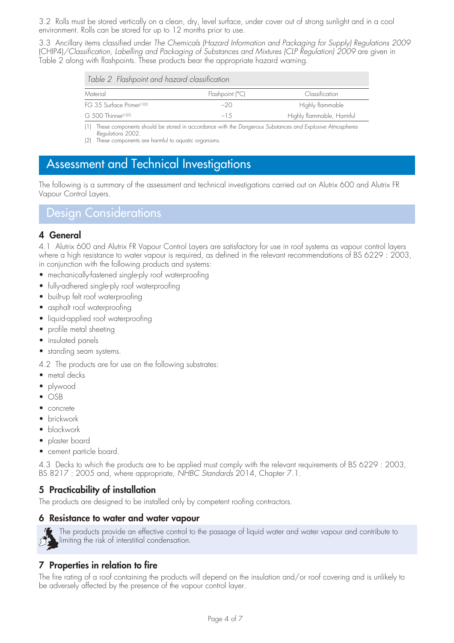3.2 Rolls must be stored vertically on a clean, dry, level surface, under cover out of strong sunlight and in a cool environment. Rolls can be stored for up to 12 months prior to use.

3.3 Ancillary items classified under *The Chemicals (Hazard Information and Packaging for Supply) Regulations 2009*  (CHIP4)*/Classification, Labelling and Packaging of Substances and Mixtures (CLP Regulation) 2009* are given in Table 2 along with flashpoints. These products bear the appropriate hazard warning.

|  |  |  | Table 2 Flashpoint and hazard classification |
|--|--|--|----------------------------------------------|
|--|--|--|----------------------------------------------|

| Flashpoint (°C) | Classification            |
|-----------------|---------------------------|
| $-20$           | Highly flammable          |
| $-15$           | Highly flammable, Harmful |
|                 |                           |

(1) These components should be stored in accordance with the *Dangerous Substances and Explosive Atmospheres Regulations* 2002.

(2) These components are harmful to aquatic organisms.

# Assessment and Technical Investigations

The following is a summary of the assessment and technical investigations carried out on Alutrix 600 and Alutrix FR Vapour Control Layers.

Design Considerations

# **4 General**

4.1 Alutrix 600 and Alutrix FR Vapour Control Layers are satisfactory for use in roof systems as vapour control layers where a high resistance to water vapour is required, as defined in the relevant recommendations of BS 6229 : 2003, in conjunction with the following products and systems:

- mechanically-fastened single-ply roof waterproofing
- fully-adhered single-ply roof waterproofing
- built-up felt roof waterproofing
- asphalt roof waterproofing
- liquid-applied roof waterproofing
- profile metal sheeting
- insulated panels
- standing seam systems.
- 4.2 The products are for use on the following substrates:
- metal decks
- plywood
- OSB
- concrete
- brickwork
- blockwork
- plaster board
- cement particle board.

4.3 Decks to which the products are to be applied must comply with the relevant requirements of BS 6229 : 2003, BS 8217 : 2005 and, where appropriate, *NHBC Standards* 2014, Chapter 7.1.

# **5 Practicability of installation**

The products are designed to be installed only by competent roofing contractors.

#### **6 Resistance to water and water vapour**

The products provide an effective control to the passage of liquid water and water vapour and contribute to limiting the risk of interstitial condensation.

### **7 Properties in relation to fire**

The fire rating of a roof containing the products will depend on the insulation and/or roof covering and is unlikely to be adversely affected by the presence of the vapour control layer.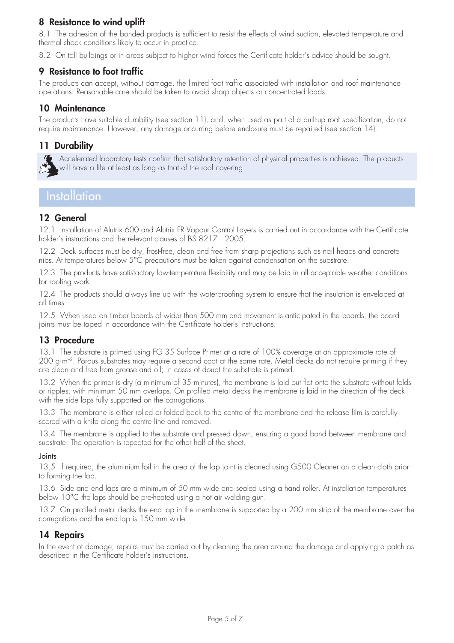# **8 Resistance to wind uplift**

8.1 The adhesion of the bonded products is sufficient to resist the effects of wind suction, elevated temperature and thermal shock conditions likely to occur in practice.

8.2 On tall buildings or in areas subject to higher wind forces the Certificate holder's advice should be sought.

# **9 Resistance to foot traffic**

The products can accept, without damage, the limited foot traffic associated with installation and roof maintenance operations. Reasonable care should be taken to avoid sharp objects or concentrated loads.

### **10 Maintenance**

The products have suitable durability (see section 11), and, when used as part of a built-up roof specification, do not require maintenance. However, any damage occurring before enclosure must be repaired (see section 14).

### **11 Durability**



Accelerated laboratory tests confirm that satisfactory retention of physical properties is achieved. The products will have a life at least as long as that of the roof covering.

# **Installation**

### **12 General**

12.1 Installation of Alutrix 600 and Alutrix FR Vapour Control Layers is carried out in accordance with the Certificate holder's instructions and the relevant clauses of BS 8217 : 2005.

12.2 Deck surfaces must be dry, frost-free, clean and free from sharp projections such as nail heads and concrete nibs. At temperatures below 5°C precautions must be taken against condensation on the substrate.

12.3 The products have satisfactory low-temperature flexibility and may be laid in all acceptable weather conditions for roofing work.

12.4 The products should always line up with the waterproofing system to ensure that the insulation is enveloped at all times.

12.5 When used on timber boards of wider than 500 mm and movement is anticipated in the boards, the board joints must be taped in accordance with the Certificate holder's instructions.

# **13 Procedure**

13.1 The substrate is primed using FG 35 Surface Primer at a rate of 100% coverage at an approximate rate of 200 g·m–2. Porous substrates may require a second coat at the same rate. Metal decks do not require priming if they are clean and free from grease and oil; in cases of doubt the substrate is primed.

13.2 When the primer is dry (a minimum of 35 minutes), the membrane is laid out flat onto the substrate without folds or ripples, with minimum 50 mm overlaps. On profiled metal decks the membrane is laid in the direction of the deck with the side laps fully supported on the corrugations.

13.3 The membrane is either rolled or folded back to the centre of the membrane and the release film is carefully scored with a knife along the centre line and removed.

13.4 The membrane is applied to the substrate and pressed down, ensuring a good bond between membrane and substrate. The operation is repeated for the other half of the sheet.

#### Joints

13.5 If required, the aluminium foil in the area of the lap joint is cleaned using G500 Cleaner on a clean cloth prior to forming the lap.

13.6 Side and end laps are a minimum of 50 mm wide and sealed using a hand roller. At installation temperatures below 10°C the laps should be pre-heated using a hot air welding gun.

13.7 On profiled metal decks the end lap in the membrane is supported by a 200 mm strip of the membrane over the corrugations and the end lap is 150 mm wide.

### **14 Repairs**

In the event of damage, repairs must be carried out by cleaning the area around the damage and applying a patch as described in the Certificate holder's instructions.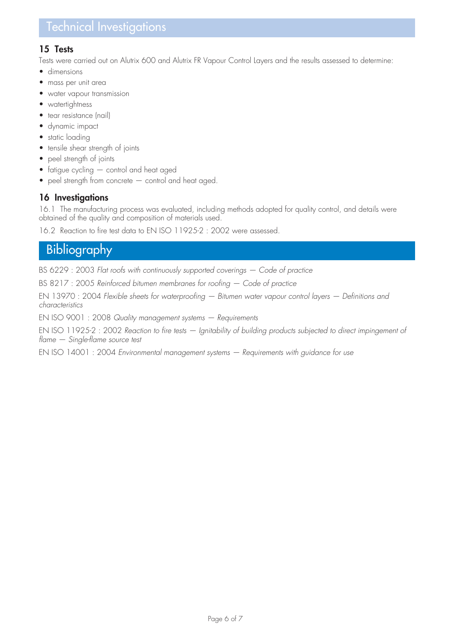# Technical Investigations

### **15 Tests**

Tests were carried out on Alutrix 600 and Alutrix FR Vapour Control Layers and the results assessed to determine:

- dimensions
- mass per unit area
- water vapour transmission
- watertightness
- tear resistance (nail)
- dynamic impact
- static loading
- tensile shear strength of joints
- peel strength of joints
- fatigue cycling control and heat aged
- peel strength from concrete control and heat aged.

# **16 Investigations**

16.1 The manufacturing process was evaluated, including methods adopted for quality control, and details were obtained of the quality and composition of materials used.

16.2 Reaction to fire test data to EN ISO 11925-2 : 2002 were assessed.

# **Bibliography**

BS 6229 : 2003 *Flat roofs with continuously supported coverings — Code of practice*

BS 8217 : 2005 *Reinforced bitumen membranes for roofing — Code of practice*

EN 13970 : 2004 *Flexible sheets for waterproofing — Bitumen water vapour control layers — Definitions and characteristics*

EN ISO 9001 : 2008 *Quality management systems — Requirements*

EN ISO 11925-2 : 2002 *Reaction to fire tests — Ignitability of building products subjected to direct impingement of flame — Single-flame source test*

EN ISO 14001 : 2004 *Environmental management systems — Requirements with guidance for use*